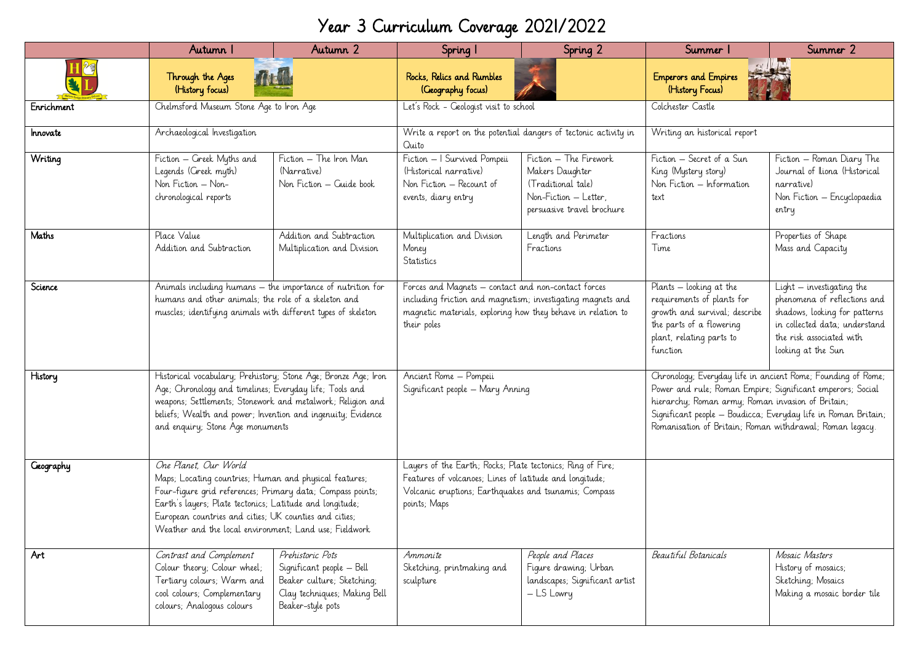## Year 3 Curriculum Coverage 2021/2022

|            | Autumn I                                                                                                                                                                                                                                                                                                                      | Autumn 2                                                                                                                         | Spring I                                                                                                                                                                                          | Spring 2                                                                                                               | Summer                                                                                                                                                                                                                                                                                                        | Summer 2                                                                                                                                                                        |
|------------|-------------------------------------------------------------------------------------------------------------------------------------------------------------------------------------------------------------------------------------------------------------------------------------------------------------------------------|----------------------------------------------------------------------------------------------------------------------------------|---------------------------------------------------------------------------------------------------------------------------------------------------------------------------------------------------|------------------------------------------------------------------------------------------------------------------------|---------------------------------------------------------------------------------------------------------------------------------------------------------------------------------------------------------------------------------------------------------------------------------------------------------------|---------------------------------------------------------------------------------------------------------------------------------------------------------------------------------|
|            | Through the Ages<br>(History focus)                                                                                                                                                                                                                                                                                           |                                                                                                                                  | Rocks, Relics and Rumbles<br>(Geography focus)                                                                                                                                                    |                                                                                                                        | <b>Emperors and Empires</b><br>(History Focus)                                                                                                                                                                                                                                                                |                                                                                                                                                                                 |
| Enrichment | Chelmsford Museum Stone Age to Iron Age                                                                                                                                                                                                                                                                                       |                                                                                                                                  | Let's Rock - Geologist visit to school                                                                                                                                                            |                                                                                                                        | Colchester Castle                                                                                                                                                                                                                                                                                             |                                                                                                                                                                                 |
| Innovate   | Archaeological Investigation                                                                                                                                                                                                                                                                                                  |                                                                                                                                  | Write a report on the potential dangers of tectonic activity in<br>Quito                                                                                                                          |                                                                                                                        | Writing an historical report                                                                                                                                                                                                                                                                                  |                                                                                                                                                                                 |
| Writing    | Fiction – Greek Myths and<br>Legends (Greek myth)<br>Non Fiction - Non-<br>chronological reports                                                                                                                                                                                                                              | Fiction - The Iron Man<br>(Narrative)<br>Non Fiction - Guide book                                                                | Fiction - I Survived Pompeii<br>(Historical narrative)<br>Non Fiction - Recount of<br>events, diary entry                                                                                         | Fiction - The Firework<br>Makers Daughter<br>(Traditional tale)<br>Non-Fiction - Letter,<br>persuasive travel brochure | Fiction – Secret of a Sun<br>King (Mystery story)<br>Non Fiction - Information<br>text                                                                                                                                                                                                                        | Fiction - Roman Diary The<br>Journal of Iliona (Historical<br>narrative)<br>Non Fiction - Encyclopaedia<br>entry                                                                |
| Maths      | Place Value<br>Addition and Subtraction                                                                                                                                                                                                                                                                                       | Addition and Subtraction<br>Multiplication and Division                                                                          | Multiplication and Division<br>Money<br>Statistics                                                                                                                                                | Length and Perimeter<br>Fractions                                                                                      | Fractions<br>Time                                                                                                                                                                                                                                                                                             | Properties of Shape<br>Mass and Capacity                                                                                                                                        |
| Science    | Animals including humans - the importance of nutrition for<br>humans and other animals; the role of a skeleton and<br>muscles; identifying animals with different types of skeleton                                                                                                                                           |                                                                                                                                  | Forces and Magnets – contact and non-contact forces<br>including friction and magnetism; investigating magnets and<br>magnetic materials, exploring how they behave in relation to<br>their poles |                                                                                                                        | Plants – looking at the<br>requirements of plants for<br>growth and survival; describe<br>the parts of a flowering<br>plant, relating parts to<br>function                                                                                                                                                    | $Light - investigating the$<br>phenomena of reflections and<br>shadows, looking for patterns<br>in collected data; understand<br>the risk associated with<br>looking at the Sun |
| History    | Historical vocabulary; Prehistory; Stone Age; Bronze Age; Iron<br>Age; Chronology and timelines; Everyday life; Tools and<br>weapons; Settlements; Stonework and metalwork; Religion and<br>beliefs; Wealth and power; Invention and ingenuity; Evidence<br>and enquiry; Stone Age monuments                                  |                                                                                                                                  | Ancient Rome - Pompeii<br>Significant people - Mary Anning                                                                                                                                        |                                                                                                                        | Chronology; Everyday life in ancient Rome; Founding of Rome;<br>Power and rule; Roman Empire; Significant emperors; Social<br>hierarchy; Roman army; Roman invasion of Britain;<br>Significant people - Boudicca; Everyday life in Roman Britain;<br>Romanisation of Britain; Roman withdrawal; Roman legacy. |                                                                                                                                                                                 |
| Geography  | One Planet, Our World<br>Maps; Locating countries; Human and physical features;<br>Four-figure grid references; Primary data; Compass points;<br>Earth's layers; Plate tectonics; Latitude and longitude;<br>European countries and cities; UK counties and cities;<br>Weather and the local environment; Land use; Fieldwork |                                                                                                                                  | Layers of the Earth; Rocks; Plate tectonics; Ring of Fire;<br>Features of volcanoes; Lines of latitude and longitude;<br>Volcanic eruptions; Earthquakes and tsunamis; Compass<br>points; Maps    |                                                                                                                        |                                                                                                                                                                                                                                                                                                               |                                                                                                                                                                                 |
| Art        | Contrast and Complement<br>Colour theory; Colour wheel;<br>Tertiary colours; Warm and<br>cool colours; Complementary<br>colours; Analogous colours                                                                                                                                                                            | Prehistoric Pots<br>Significant people - Bell<br>Beaker culture; Sketching;<br>Clay techniques; Making Bell<br>Beaker-style pots | Ammonite<br>Sketching, printmaking and<br>sculpture                                                                                                                                               | People and Places<br>Figure drawing; Urban<br>landscapes; Significant artist<br>- LS Lowry                             | Beautiful Botanicals                                                                                                                                                                                                                                                                                          | Mosaic Masters<br>History of mosaics;<br>Sketching, Mosaics<br>Making a mosaic border tile                                                                                      |